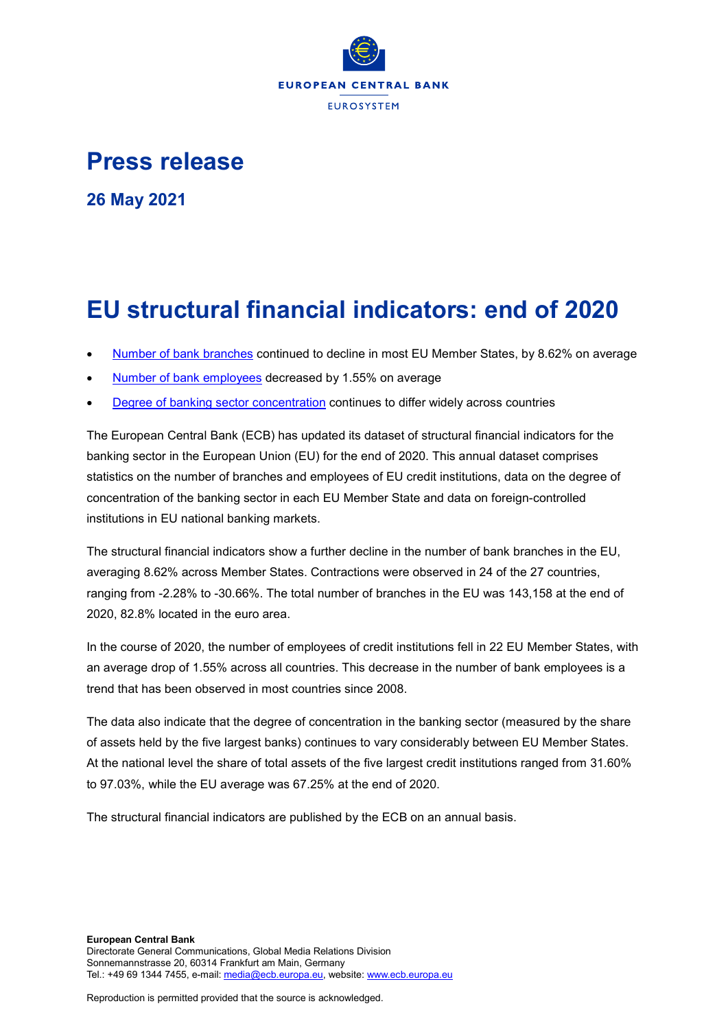

## **Press release**

**26 May 2021**

# **EU structural financial indicators: end of 2020**

- [Number of bank branches](https://sdw.ecb.europa.eu/browseSelection.do?org.apache.struts.taglib.html.TOKEN=27185af050aa9b1d27d1ba2afa019bc5&df=true&ec=&dc=&oc=&pb=&rc=&DATASET=0&removeItem=&removedItemList=&mergeFilter=&activeTab=SSI&showHide=&SSI_INDICATOR.26=N10&COUNT_AREA.26=U6&MAX_DOWNLOAD_SERIES=500&SERIES_MAX_NUM=50&node=9689719&legendPub=published&ajaxTab=true) continued to decline in most EU Member States, by 8.62% on average
- [Number of bank employees](https://sdw.ecb.europa.eu/browseSelection.do?org.apache.struts.taglib.html.TOKEN=27185af050aa9b1d27d1ba2afa019bc5&df=true&ec=&dc=&oc=&pb=&rc=&DATASET=0&removeItem=&removedItemList=&mergeFilter=&activeTab=SSI&showHide=&SSI_INDICATOR.26=N30&MAX_DOWNLOAD_SERIES=500&SERIES_MAX_NUM=50&node=9689719&legendPub=published&ajaxTab=true) decreased by 1.55% on average
- [Degree of banking sector concentration](https://sdw.ecb.europa.eu/browseSelection.do?org.apache.struts.taglib.html.TOKEN=27185af050aa9b1d27d1ba2afa019bc5&df=true&ec=&dc=&oc=&pb=&rc=&DATASET=0&removeItem=&removedItemList=&mergeFilter=&activeTab=SSI&showHide=&SSI_INDICATOR.26=S10&MAX_DOWNLOAD_SERIES=500&SERIES_MAX_NUM=50&node=9689719&legendPub=published&ajaxTab=true) continues to differ widely across countries

The European Central Bank (ECB) has updated its dataset of structural financial indicators for the banking sector in the European Union (EU) for the end of 2020. This annual dataset comprises statistics on the number of branches and employees of EU credit institutions, data on the degree of concentration of the banking sector in each EU Member State and data on foreign-controlled institutions in EU national banking markets.

The structural financial indicators show a further decline in the number of bank branches in the EU, averaging 8.62% across Member States. Contractions were observed in 24 of the 27 countries, ranging from -2.28% to -30.66%. The total number of branches in the EU was 143,158 at the end of 2020, 82.8% located in the euro area.

In the course of 2020, the number of employees of credit institutions fell in 22 EU Member States, with an average drop of 1.55% across all countries. This decrease in the number of bank employees is a trend that has been observed in most countries since 2008.

The data also indicate that the degree of concentration in the banking sector (measured by the share of assets held by the five largest banks) continues to vary considerably between EU Member States. At the national level the share of total assets of the five largest credit institutions ranged from 31.60% to 97.03%, while the EU average was 67.25% at the end of 2020.

The structural financial indicators are published by the ECB on an annual basis.

Reproduction is permitted provided that the source is acknowledged.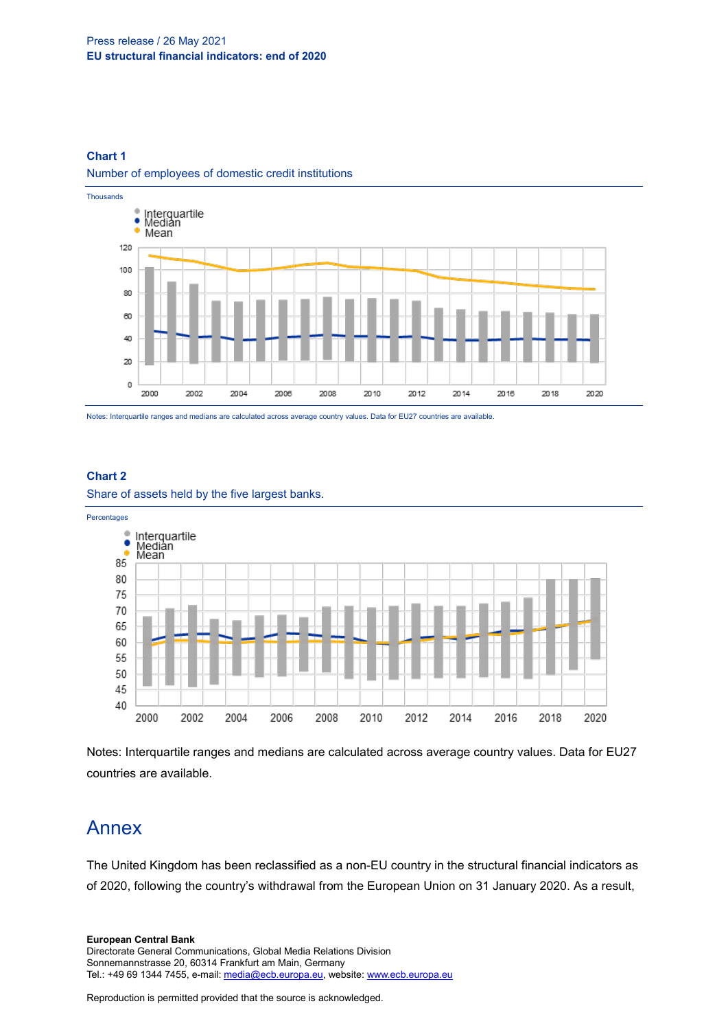#### Press release / 26 May 2021 **EU structural financial indicators: end of 2020**

#### **Chart 1**

#### Number of employees of domestic credit institutions



Notes: Interquartile ranges and medians are calculated across average country values. Data for EU27 countries are available.

#### **Chart 2**

Share of assets held by the five largest banks.



Notes: Interquartile ranges and medians are calculated across average country values. Data for EU27 countries are available.

### Annex

The United Kingdom has been reclassified as a non-EU country in the structural financial indicators as of 2020, following the country's withdrawal from the European Union on 31 January 2020. As a result,

Directorate General Communications, Global Media Relations Division Sonnemannstrasse 20, 60314 Frankfurt am Main, Germany Tel.: +49 69 1344 7455, e-mail[: media@ecb.europa.eu,](mailto:media@ecb.europa.eu) website[: www.ecb.europa.eu](http://www.ecb.europa.eu/)

Reproduction is permitted provided that the source is acknowledged.